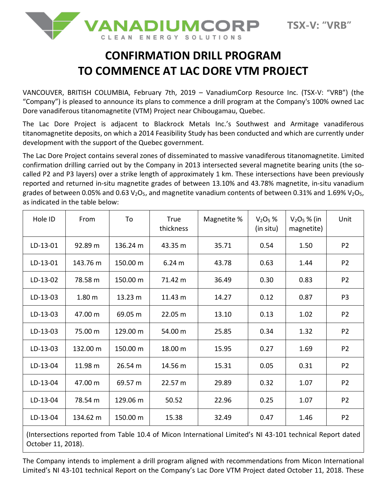

## **CONFIRMATION DRILL PROGRAM TO COMMENCE AT LAC DORE VTM PROJECT**

VANCOUVER, BRITISH COLUMBIA, February 7th, 2019 – VanadiumCorp Resource Inc. (TSX-V: "VRB") (the "Company") is pleased to announce its plans to commence a drill program at the Company's 100% owned Lac Dore vanadiferous titanomagnetite (VTM) Project near Chibougamau, Quebec.

The Lac Dore Project is adjacent to Blackrock Metals Inc.'s Southwest and Armitage vanadiferous titanomagnetite deposits, on which a 2014 Feasibility Study has been conducted and which are currently under development with the support of the Quebec government.

The Lac Dore Project contains several zones of disseminated to massive vanadiferous titanomagnetite. Limited confirmation drilling carried out by the Company in 2013 intersected several magnetite bearing units (the socalled P2 and P3 layers) over a strike length of approximately 1 km. These intersections have been previously reported and returned in-situ magnetite grades of between 13.10% and 43.78% magnetite, in-situ vanadium grades of between 0.05% and 0.63  $V_2O_5$ , and magnetite vanadium contents of between 0.31% and 1.69%  $V_2O_5$ , as indicated in the table below:

| Hole ID  | From              | To       | True<br>thickness | Magnetite % | $V2O5$ %<br>(in situ) | $V_2O_5$ % (in<br>magnetite) | Unit           |
|----------|-------------------|----------|-------------------|-------------|-----------------------|------------------------------|----------------|
| LD-13-01 | 92.89 m           | 136.24 m | 43.35 m           | 35.71       | 0.54                  | 1.50                         | P <sub>2</sub> |
| LD-13-01 | 143.76 m          | 150.00 m | 6.24 <sub>m</sub> | 43.78       | 0.63                  | 1.44                         | P <sub>2</sub> |
| LD-13-02 | 78.58 m           | 150.00 m | 71.42 m           | 36.49       | 0.30                  | 0.83                         | P <sub>2</sub> |
| LD-13-03 | 1.80 <sub>m</sub> | 13.23 m  | 11.43 m           | 14.27       | 0.12                  | 0.87                         | P <sub>3</sub> |
| LD-13-03 | 47.00 m           | 69.05 m  | 22.05 m           | 13.10       | 0.13                  | 1.02                         | P <sub>2</sub> |
| LD-13-03 | 75.00 m           | 129.00 m | 54.00 m           | 25.85       | 0.34                  | 1.32                         | P <sub>2</sub> |
| LD-13-03 | 132.00 m          | 150.00 m | 18.00 m           | 15.95       | 0.27                  | 1.69                         | P <sub>2</sub> |
| LD-13-04 | 11.98 m           | 26.54 m  | 14.56 m           | 15.31       | 0.05                  | 0.31                         | P <sub>2</sub> |
| LD-13-04 | 47.00 m           | 69.57 m  | 22.57 m           | 29.89       | 0.32                  | 1.07                         | P <sub>2</sub> |
| LD-13-04 | 78.54 m           | 129.06 m | 50.52             | 22.96       | 0.25                  | 1.07                         | P <sub>2</sub> |
| LD-13-04 | 134.62 m          | 150.00 m | 15.38             | 32.49       | 0.47                  | 1.46                         | P <sub>2</sub> |

(Intersections reported from Table 10.4 of Micon International Limited's NI 43-101 technical Report dated October 11, 2018).

The Company intends to implement a drill program aligned with recommendations from Micon International Limited's NI 43-101 technical Report on the Company's Lac Dore VTM Project dated October 11, 2018. These